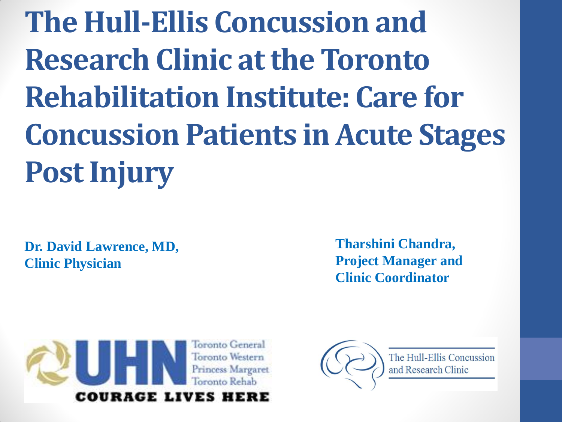**The Hull-Ellis Concussion and Research Clinic at the Toronto Rehabilitation Institute: Care for Concussion Patients in Acute Stages Post Injury**

**Dr. David Lawrence, MD, Clinic Physician**

**Tharshini Chandra, Project Manager and Clinic Coordinator**



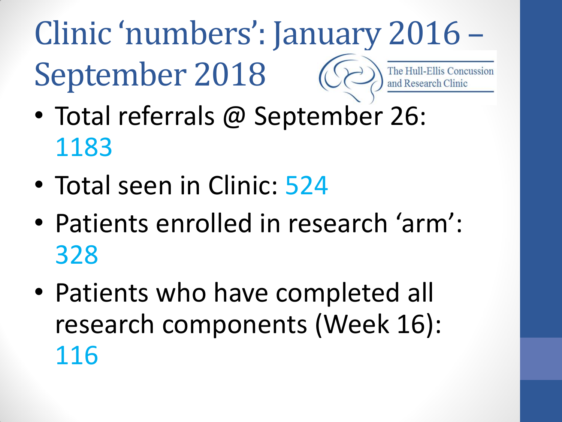#### Clinic 'numbers': January 2016 – September 2018 **Ellis Concussion**

- Total referrals @ September 26: 1183
- Total seen in Clinic: 524
- Patients enrolled in research 'arm': 328
- Patients who have completed all research components (Week 16): 116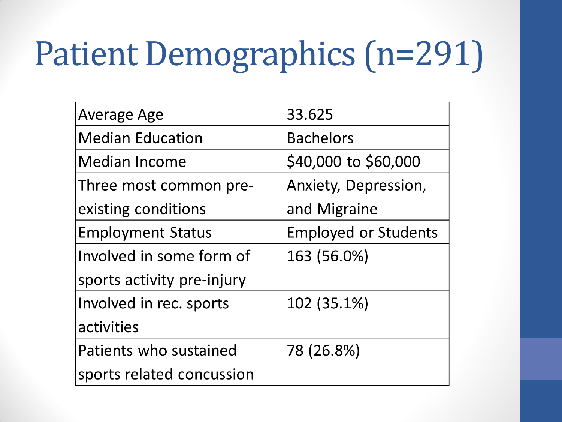# Patient Demographics (n=291)

| <b>Average Age</b>         | 33.625                      |
|----------------------------|-----------------------------|
| <b>Median Education</b>    | <b>Bachelors</b>            |
| <b>Median Income</b>       | \$40,000 to \$60,000        |
| Three most common pre-     | Anxiety, Depression,        |
| existing conditions        | and Migraine                |
| <b>Employment Status</b>   | <b>Employed or Students</b> |
| Involved in some form of   | 163 (56.0%)                 |
| sports activity pre-injury |                             |
| Involved in rec. sports    | 102 (35.1%)                 |
| activities                 |                             |
| Patients who sustained     | 78 (26.8%)                  |
| sports related concussion  |                             |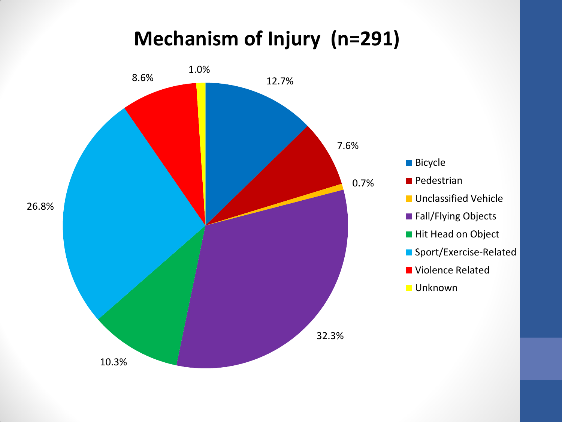#### **Mechanism of Injury (n=291)**

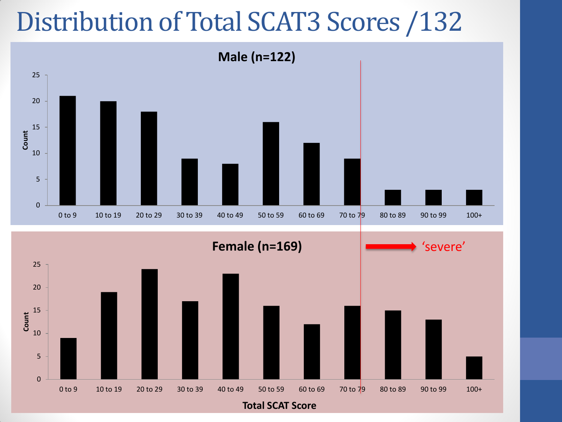### Distribution of Total SCAT3 Scores /132

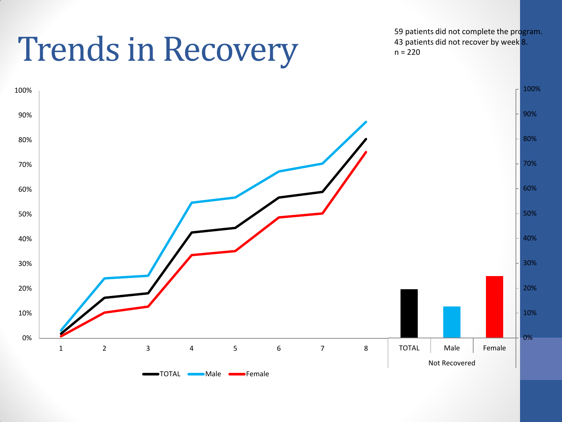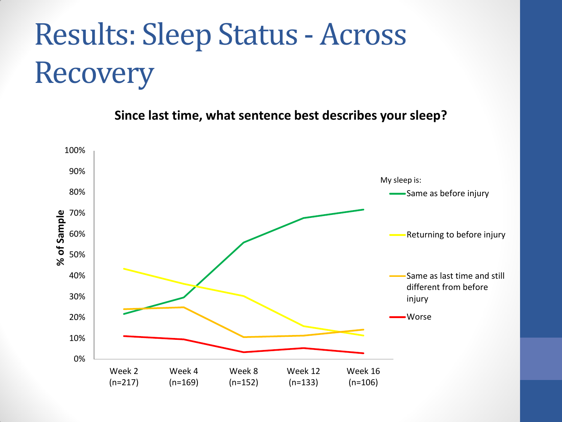## Results: Sleep Status - Across Recovery

**Since last time, what sentence best describes your sleep?**